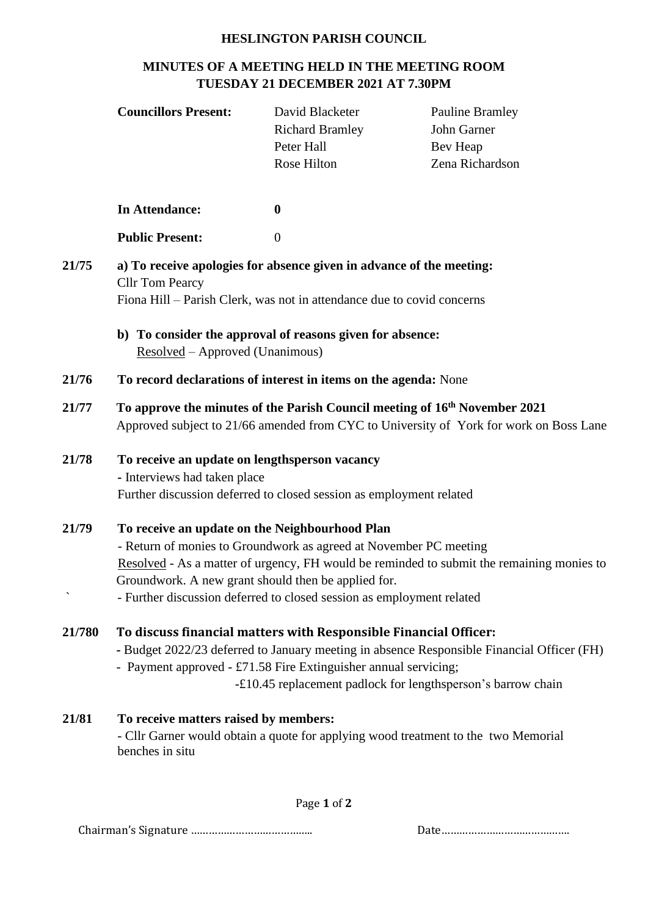## **HESLINGTON PARISH COUNCIL**

## **MINUTES OF A MEETING HELD IN THE MEETING ROOM TUESDAY 21 DECEMBER 2021 AT 7.30PM**

|               | <b>Councillors Present:</b>                                                                                                                                                                                                                                                                                                                      | David Blacketer<br><b>Richard Bramley</b><br>Peter Hall<br>Rose Hilton | <b>Pauline Bramley</b><br>John Garner<br>Bev Heap<br>Zena Richardson |
|---------------|--------------------------------------------------------------------------------------------------------------------------------------------------------------------------------------------------------------------------------------------------------------------------------------------------------------------------------------------------|------------------------------------------------------------------------|----------------------------------------------------------------------|
|               | <b>In Attendance:</b>                                                                                                                                                                                                                                                                                                                            | $\boldsymbol{0}$                                                       |                                                                      |
|               | <b>Public Present:</b>                                                                                                                                                                                                                                                                                                                           | $\theta$                                                               |                                                                      |
| 21/75         | a) To receive apologies for absence given in advance of the meeting:<br><b>Cllr Tom Pearcy</b><br>Fiona Hill – Parish Clerk, was not in attendance due to covid concerns<br>b) To consider the approval of reasons given for absence:                                                                                                            |                                                                        |                                                                      |
|               | Resolved - Approved (Unanimous)                                                                                                                                                                                                                                                                                                                  |                                                                        |                                                                      |
| 21/76         | To record declarations of interest in items on the agenda: None                                                                                                                                                                                                                                                                                  |                                                                        |                                                                      |
| 21/77         | To approve the minutes of the Parish Council meeting of 16 <sup>th</sup> November 2021<br>Approved subject to 21/66 amended from CYC to University of York for work on Boss Lane                                                                                                                                                                 |                                                                        |                                                                      |
| 21/78         | To receive an update on lengthsperson vacancy<br>- Interviews had taken place<br>Further discussion deferred to closed session as employment related                                                                                                                                                                                             |                                                                        |                                                                      |
| 21/79         | To receive an update on the Neighbourhood Plan<br>- Return of monies to Groundwork as agreed at November PC meeting<br>Resolved - As a matter of urgency, FH would be reminded to submit the remaining monies to<br>Groundwork. A new grant should then be applied for.<br>- Further discussion deferred to closed session as employment related |                                                                        |                                                                      |
| <b>21/780</b> | To discuss financial matters with Responsible Financial Officer:<br>- Budget 2022/23 deferred to January meeting in absence Responsible Financial Officer (FH)<br>- Payment approved - £71.58 Fire Extinguisher annual servicing;<br>-£10.45 replacement padlock for lengthsperson's barrow chain                                                |                                                                        |                                                                      |
| 21/81         | To receive matters raised by members:<br>- Cllr Garner would obtain a quote for applying wood treatment to the two Memorial<br>benches in situ                                                                                                                                                                                                   |                                                                        |                                                                      |

Page **1** of **2**

Chairman's Signature ………………………………….. Date…………………………………….